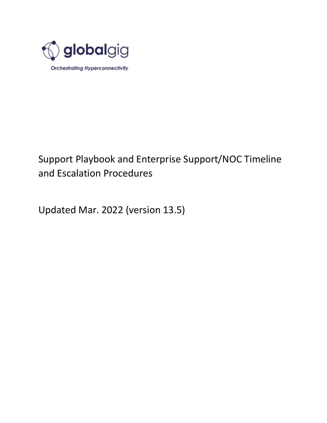

### Support Playbook and Enterprise Support/NOC Timeline and Escalation Procedures

Updated Mar. 2022 (version 13.5)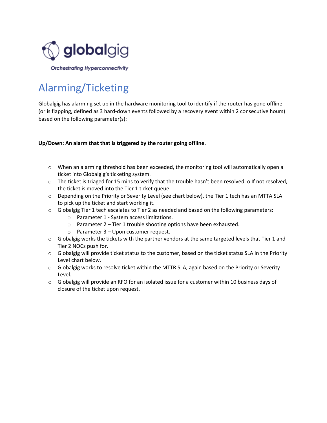

## Alarming/Ticketing

Globalgig has alarming set up in the hardware monitoring tool to identify if the router has gone offline (or is flapping, defined as 3 hard-down events followed by a recovery event within 2 consecutive hours) based on the following parameter(s):

#### **Up/Down: An alarm that that is triggered by the router going offline.**

- $\circ$  When an alarming threshold has been exceeded, the monitoring tool will automatically open a ticket into Globalgig's ticketing system.
- o The ticket is triaged for 15 mins to verify that the trouble hasn't been resolved. o If not resolved, the ticket is moved into the Tier 1 ticket queue.
- o Depending on the Priority or Severity Level (see chart below), the Tier 1 tech has an MTTA SLA to pick up the ticket and start working it.
- $\circ$  Globalgig Tier 1 tech escalates to Tier 2 as needed and based on the following parameters:
	- o Parameter 1 System access limitations.
	- o Parameter 2 Tier 1 trouble shooting options have been exhausted.
	- o Parameter 3 Upon customer request.
- $\circ$  Globalgig works the tickets with the partner vendors at the same targeted levels that Tier 1 and Tier 2 NOCs push for.
- $\circ$  Globalgig will provide ticket status to the customer, based on the ticket status SLA in the Priority Level chart below.
- o Globalgig works to resolve ticket within the MTTR SLA, again based on the Priority or Severity Level.
- $\circ$  Globalgig will provide an RFO for an isolated issue for a customer within 10 business days of closure of the ticket upon request.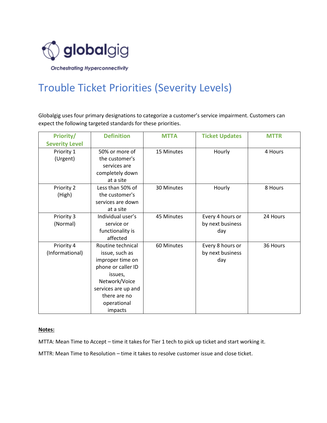

## Trouble Ticket Priorities (Severity Levels)

Globalgig uses four primary designations to categorize a customer's service impairment. Customers can expect the following targeted standards for these priorities.

| Priority/             | <b>Definition</b>   | <b>MTTA</b> | <b>Ticket Updates</b> | <b>MTTR</b> |
|-----------------------|---------------------|-------------|-----------------------|-------------|
| <b>Severity Level</b> |                     |             |                       |             |
| Priority 1            | 50% or more of      | 15 Minutes  | Hourly                | 4 Hours     |
| (Urgent)              | the customer's      |             |                       |             |
|                       | services are        |             |                       |             |
|                       | completely down     |             |                       |             |
|                       | at a site           |             |                       |             |
| Priority 2            | Less than 50% of    | 30 Minutes  | Hourly                | 8 Hours     |
| (High)                | the customer's      |             |                       |             |
|                       | services are down   |             |                       |             |
|                       | at a site           |             |                       |             |
| Priority 3            | Individual user's   | 45 Minutes  | Every 4 hours or      | 24 Hours    |
| (Normal)              | service or          |             | by next business      |             |
|                       | functionality is    |             | day                   |             |
|                       | affected            |             |                       |             |
| Priority 4            | Routine technical   | 60 Minutes  | Every 8 hours or      | 36 Hours    |
| (Informational)       | issue, such as      |             | by next business      |             |
|                       | improper time on    |             | day                   |             |
|                       | phone or caller ID  |             |                       |             |
|                       | issues,             |             |                       |             |
|                       | Network/Voice       |             |                       |             |
|                       | services are up and |             |                       |             |
|                       | there are no        |             |                       |             |
|                       | operational         |             |                       |             |
|                       | impacts             |             |                       |             |

#### **Notes:**

MTTA: Mean Time to Accept – time it takes for Tier 1 tech to pick up ticket and start working it.

MTTR: Mean Time to Resolution – time it takes to resolve customer issue and close ticket.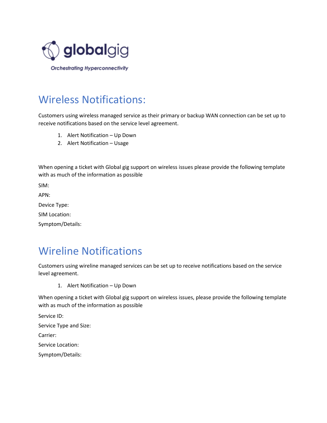

### Wireless Notifications:

Customers using wireless managed service as their primary or backup WAN connection can be set up to receive notifications based on the service level agreement.

- 1. Alert Notification Up Down
- 2. Alert Notification Usage

When opening a ticket with Global gig support on wireless issues please provide the following template with as much of the information as possible

SIM:

APN:

Device Type:

SIM Location:

Symptom/Details:

### Wireline Notifications

Customers using wireline managed services can be set up to receive notifications based on the service level agreement.

1. Alert Notification – Up Down

When opening a ticket with Global gig support on wireless issues, please provide the following template with as much of the information as possible

Service ID:

Service Type and Size:

Carrier:

Service Location:

Symptom/Details: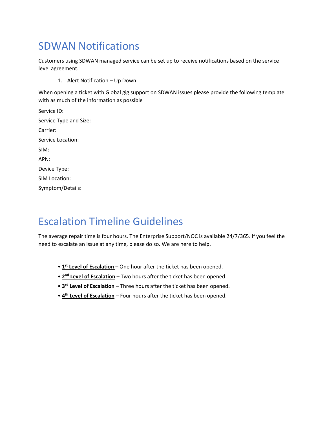### SDWAN Notifications

Customers using SDWAN managed service can be set up to receive notifications based on the service level agreement.

1. Alert Notification – Up Down

When opening a ticket with Global gig support on SDWAN issues please provide the following template with as much of the information as possible

| Service ID:            |
|------------------------|
| Service Type and Size: |
| Carrier:               |
| Service Location:      |
| SIM:                   |
| APN:                   |
| Device Type:           |
| SIM Location:          |
|                        |

Symptom/Details:

### Escalation Timeline Guidelines

The average repair time is four hours. The Enterprise Support/NOC is available 24/7/365. If you feel the need to escalate an issue at any time, please do so. We are here to help.

- **1<sup>st</sup> Level of Escalation** One hour after the ticket has been opened.
- **2<sup>nd</sup> Level of Escalation** Two hours after the ticket has been opened.
- **3<sup>rd</sup> Level of Escalation** Three hours after the ticket has been opened.
- **<sup>4th</sup> Level of Escalation** Four hours after the ticket has been opened.